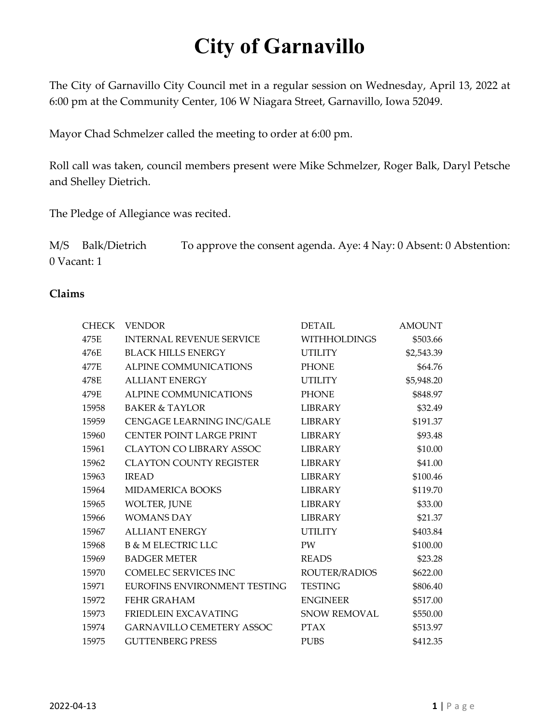The City of Garnavillo City Council met in a regular session on Wednesday, April 13, 2022 at 6:00 pm at the Community Center, 106 W Niagara Street, Garnavillo, Iowa 52049.

Mayor Chad Schmelzer called the meeting to order at 6:00 pm.

Roll call was taken, council members present were Mike Schmelzer, Roger Balk, Daryl Petsche and Shelley Dietrich.

The Pledge of Allegiance was recited.

M/S Balk/Dietrich To approve the consent agenda. Aye: 4 Nay: 0 Absent: 0 Abstention: 0 Vacant: 1

## **Claims**

| <b>CHECK</b> | <b>VENDOR</b>                    | <b>DETAIL</b>       | <b>AMOUNT</b> |
|--------------|----------------------------------|---------------------|---------------|
| 475E         | <b>INTERNAL REVENUE SERVICE</b>  | <b>WITHHOLDINGS</b> | \$503.66      |
| 476E         | <b>BLACK HILLS ENERGY</b>        | <b>UTILITY</b>      | \$2,543.39    |
| 477E         | ALPINE COMMUNICATIONS            | <b>PHONE</b>        | \$64.76       |
| 478E         | <b>ALLIANT ENERGY</b>            | <b>UTILITY</b>      | \$5,948.20    |
| 479E         | ALPINE COMMUNICATIONS            | <b>PHONE</b>        | \$848.97      |
| 15958        | <b>BAKER &amp; TAYLOR</b>        | <b>LIBRARY</b>      | \$32.49       |
| 15959        | CENGAGE LEARNING INC/GALE        | LIBRARY             | \$191.37      |
| 15960        | CENTER POINT LARGE PRINT         | <b>LIBRARY</b>      | \$93.48       |
| 15961        | <b>CLAYTON CO LIBRARY ASSOC</b>  | LIBRARY             | \$10.00       |
| 15962        | <b>CLAYTON COUNTY REGISTER</b>   | <b>LIBRARY</b>      | \$41.00       |
| 15963        | <b>IREAD</b>                     | <b>LIBRARY</b>      | \$100.46      |
| 15964        | <b>MIDAMERICA BOOKS</b>          | LIBRARY             | \$119.70      |
| 15965        | WOLTER, JUNE                     | LIBRARY             | \$33.00       |
| 15966        | <b>WOMANS DAY</b>                | <b>LIBRARY</b>      | \$21.37       |
| 15967        | <b>ALLIANT ENERGY</b>            | <b>UTILITY</b>      | \$403.84      |
| 15968        | <b>B &amp; M ELECTRIC LLC</b>    | <b>PW</b>           | \$100.00      |
| 15969        | <b>BADGER METER</b>              | <b>READS</b>        | \$23.28       |
| 15970        | <b>COMELEC SERVICES INC</b>      | ROUTER/RADIOS       | \$622.00      |
| 15971        | EUROFINS ENVIRONMENT TESTING     | <b>TESTING</b>      | \$806.40      |
| 15972        | FEHR GRAHAM                      | <b>ENGINEER</b>     | \$517.00      |
| 15973        | FRIEDLEIN EXCAVATING             | <b>SNOW REMOVAL</b> | \$550.00      |
| 15974        | <b>GARNAVILLO CEMETERY ASSOC</b> | <b>PTAX</b>         | \$513.97      |
| 15975        | <b>GUTTENBERG PRESS</b>          | <b>PUBS</b>         | \$412.35      |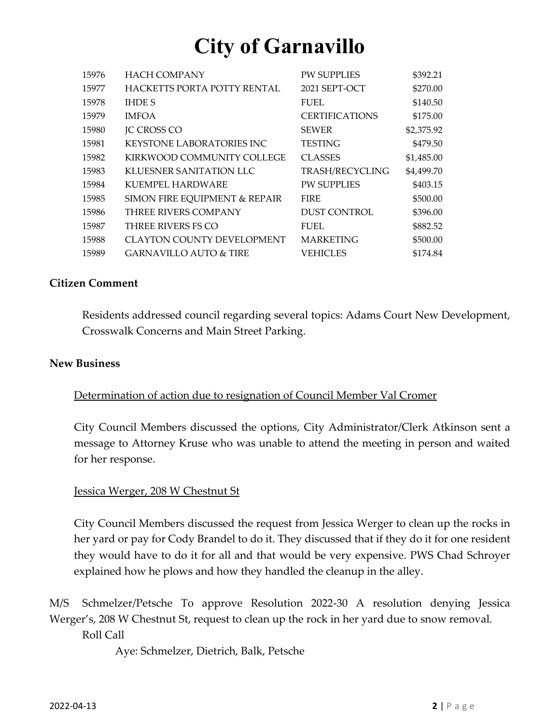| 15976 | <b>HACH COMPANY</b>               | <b>PW SUPPLIES</b>    | \$392.21   |
|-------|-----------------------------------|-----------------------|------------|
| 15977 | HACKETTS PORTA POTTY RENTAL       | 2021 SEPT-OCT         | \$270.00   |
| 15978 | <b>IHDE S</b>                     | <b>FUEL</b>           | \$140.50   |
| 15979 | <b>IMFOA</b>                      | <b>CERTIFICATIONS</b> | \$175.00   |
| 15980 | <b>JC CROSS CO</b>                | <b>SEWER</b>          | \$2,375.92 |
| 15981 | <b>KEYSTONE LABORATORIES INC.</b> | <b>TESTING</b>        | \$479.50   |
| 15982 | KIRKWOOD COMMUNITY COLLEGE        | <b>CLASSES</b>        | \$1,485.00 |
| 15983 | KLUESNER SANITATION LLC           | TRASH/RECYCLING       | \$4,499.70 |
| 15984 | KUEMPEL HARDWARE                  | <b>PW SUPPLIES</b>    | \$403.15   |
| 15985 | SIMON FIRE EQUIPMENT & REPAIR     | <b>FIRE</b>           | \$500.00   |
| 15986 | <b>THREE RIVERS COMPANY</b>       | <b>DUST CONTROL</b>   | \$396.00   |
| 15987 | THREE RIVERS FS CO                | <b>FUEL</b>           | \$882.52   |
| 15988 | <b>CLAYTON COUNTY DEVELOPMENT</b> | <b>MARKETING</b>      | \$500.00   |
| 15989 | <b>GARNAVILLO AUTO &amp; TIRE</b> | VEHICLES              | \$174.84   |

#### **Citizen Comment**

Residents addressed council regarding several topics: Adams Court New Development, Crosswalk Concerns and Main Street Parking.

#### **New Business**

#### Determination of action due to resignation of Council Member Val Cromer

City Council Members discussed the options, City Administrator/Clerk Atkinson sent a message to Attorney Kruse who was unable to attend the meeting in person and waited for her response.

#### Jessica Werger, 208 W Chestnut St

City Council Members discussed the request from Jessica Werger to clean up the rocks in her yard or pay for Cody Brandel to do it. They discussed that if they do it for one resident they would have to do it for all and that would be very expensive. PWS Chad Schroyer explained how he plows and how they handled the cleanup in the alley.

M/S Schmelzer/Petsche To approve Resolution 2022-30 A resolution denying Jessica Werger's, 208 W Chestnut St, request to clean up the rock in her yard due to snow removal. Roll Call

Aye: Schmelzer, Dietrich, Balk, Petsche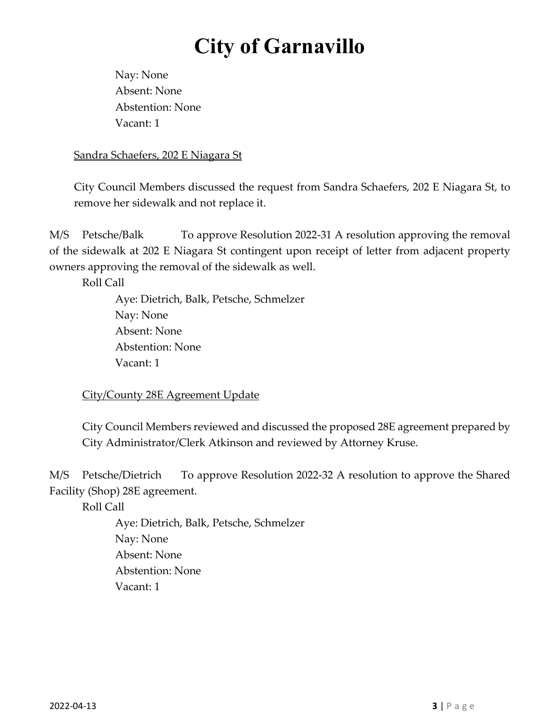Nay: None Absent: None Abstention: None Vacant: 1

## Sandra Schaefers, 202 E Niagara St

City Council Members discussed the request from Sandra Schaefers, 202 E Niagara St, to remove her sidewalk and not replace it.

M/S Petsche/Balk To approve Resolution 2022-31 A resolution approving the removal of the sidewalk at 202 E Niagara St contingent upon receipt of letter from adjacent property owners approving the removal of the sidewalk as well.

Roll Call

 Aye: Dietrich, Balk, Petsche, Schmelzer Nay: None Absent: None Abstention: None Vacant: 1

City/County 28E Agreement Update

City Council Members reviewed and discussed the proposed 28E agreement prepared by City Administrator/Clerk Atkinson and reviewed by Attorney Kruse.

M/S Petsche/Dietrich To approve Resolution 2022-32 A resolution to approve the Shared Facility (Shop) 28E agreement.

Roll Call

 Aye: Dietrich, Balk, Petsche, Schmelzer Nay: None Absent: None Abstention: None Vacant: 1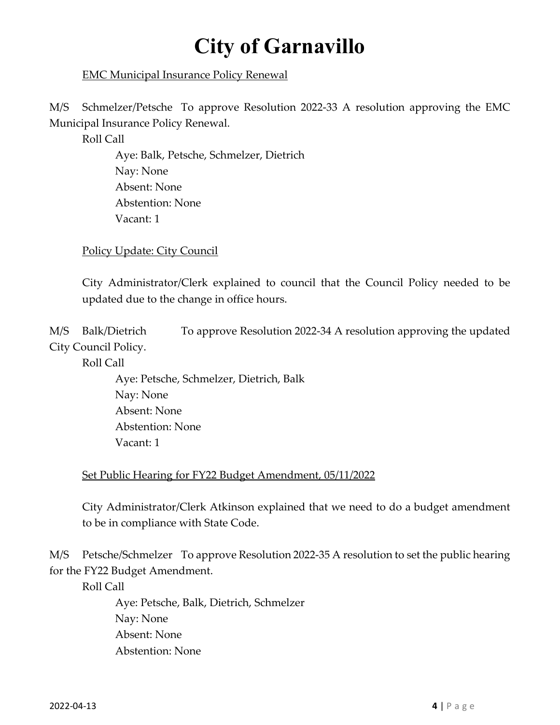## EMC Municipal Insurance Policy Renewal

M/S Schmelzer/Petsche To approve Resolution 2022-33 A resolution approving the EMC Municipal Insurance Policy Renewal.

Roll Call

 Aye: Balk, Petsche, Schmelzer, Dietrich Nay: None Absent: None Abstention: None Vacant: 1

Policy Update: City Council

City Administrator/Clerk explained to council that the Council Policy needed to be updated due to the change in office hours.

M/S Balk/Dietrich To approve Resolution 2022-34 A resolution approving the updated City Council Policy.

Roll Call

 Aye: Petsche, Schmelzer, Dietrich, Balk Nay: None Absent: None Abstention: None Vacant: 1

#### Set Public Hearing for FY22 Budget Amendment, 05/11/2022

City Administrator/Clerk Atkinson explained that we need to do a budget amendment to be in compliance with State Code.

M/S Petsche/Schmelzer To approve Resolution 2022-35 A resolution to set the public hearing for the FY22 Budget Amendment.

Roll Call

 Aye: Petsche, Balk, Dietrich, Schmelzer Nay: None Absent: None Abstention: None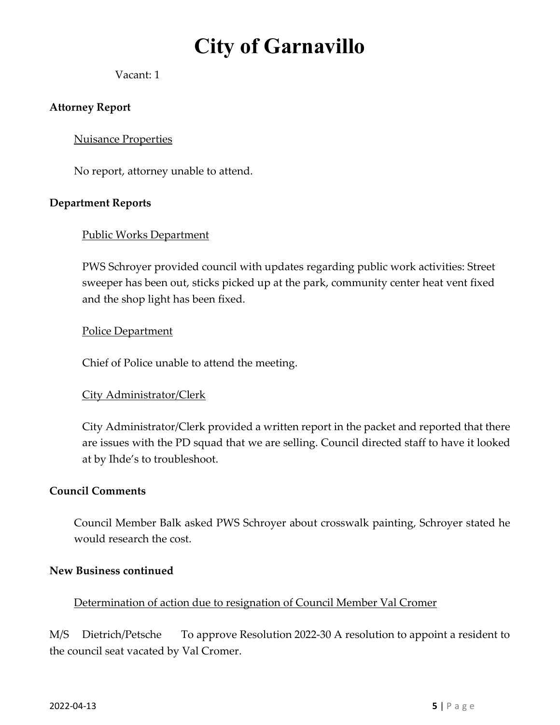## Vacant: 1

## **Attorney Report**

### Nuisance Properties

No report, attorney unable to attend.

#### **Department Reports**

## Public Works Department

PWS Schroyer provided council with updates regarding public work activities: Street sweeper has been out, sticks picked up at the park, community center heat vent fixed and the shop light has been fixed.

## Police Department

Chief of Police unable to attend the meeting.

#### City Administrator/Clerk

City Administrator/Clerk provided a written report in the packet and reported that there are issues with the PD squad that we are selling. Council directed staff to have it looked at by Ihde's to troubleshoot.

## **Council Comments**

Council Member Balk asked PWS Schroyer about crosswalk painting, Schroyer stated he would research the cost.

#### **New Business continued**

#### Determination of action due to resignation of Council Member Val Cromer

M/S Dietrich/Petsche To approve Resolution 2022-30 A resolution to appoint a resident to the council seat vacated by Val Cromer.